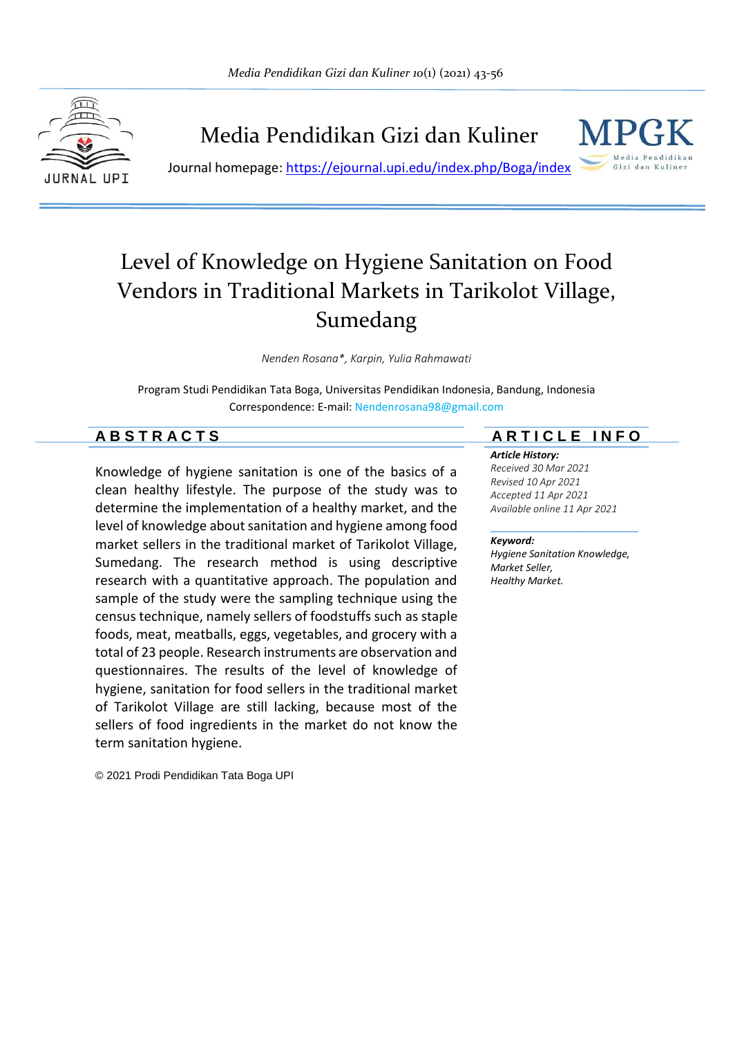

Media Pendidikan Gizi dan Kuliner



Journal homepage:<https://ejournal.upi.edu/index.php/Boga/index>

# Level of Knowledge on Hygiene Sanitation on Food Vendors in Traditional Markets in Tarikolot Village, Sumedang

*Nenden Rosana\*, Karpin, Yulia Rahmawati*

Program Studi Pendidikan Tata Boga, Universitas Pendidikan Indonesia, Bandung, Indonesia Correspondence: E-mail: Nendenrosana98@gmail.com

Knowledge of hygiene sanitation is one of the basics of a clean healthy lifestyle. The purpose of the study was to determine the implementation of a healthy market, and the level of knowledge about sanitation and hygiene among food market sellers in the traditional market of Tarikolot Village, Sumedang. The research method is using descriptive research with a quantitative approach. The population and sample of the study were the sampling technique using the census technique, namely sellers of foodstuffs such as staple foods, meat, meatballs, eggs, vegetables, and grocery with a total of 23 people. Research instruments are observation and questionnaires. The results of the level of knowledge of hygiene, sanitation for food sellers in the traditional market of Tarikolot Village are still lacking, because most of the sellers of food ingredients in the market do not know the term sanitation hygiene.

© 2021 Prodi Pendidikan Tata Boga UPI

## **A B S T R A C T S A R T I C L E I N F O**

#### *Article History:*

*Received 30 Mar 2021 Revised 10 Apr 2021 Accepted 11 Apr 2021 Available online 11 Apr 2021*

#### *Keyword:*

*Hygiene Sanitation Knowledge, Market Seller, Healthy Market.*

\_\_\_\_\_\_\_\_\_\_\_\_\_\_\_\_\_\_\_\_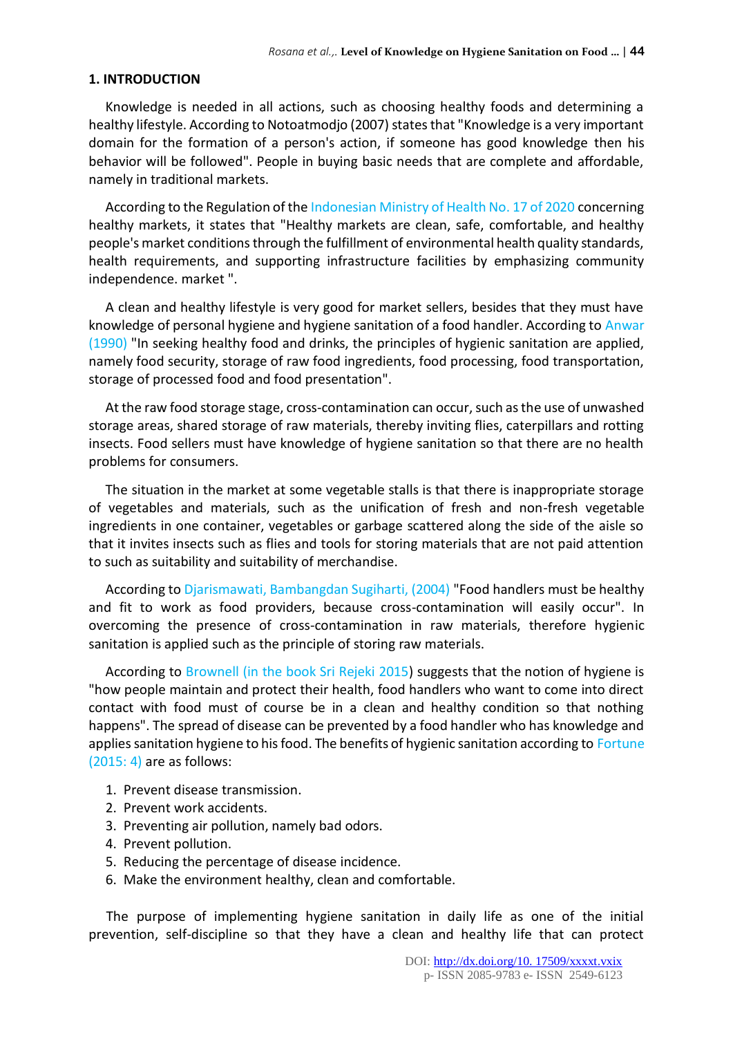#### **1. INTRODUCTION**

Knowledge is needed in all actions, such as choosing healthy foods and determining a healthy lifestyle. According to Notoatmodjo (2007) states that "Knowledge is a very important domain for the formation of a person's action, if someone has good knowledge then his behavior will be followed". People in buying basic needs that are complete and affordable, namely in traditional markets.

According to the Regulation of the Indonesian Ministry of Health No. 17 of 2020 concerning healthy markets, it states that "Healthy markets are clean, safe, comfortable, and healthy people's market conditions through the fulfillment of environmental health quality standards, health requirements, and supporting infrastructure facilities by emphasizing community independence. market ".

A clean and healthy lifestyle is very good for market sellers, besides that they must have knowledge of personal hygiene and hygiene sanitation of a food handler. According to Anwar (1990) "In seeking healthy food and drinks, the principles of hygienic sanitation are applied, namely food security, storage of raw food ingredients, food processing, food transportation, storage of processed food and food presentation".

At the raw food storage stage, cross-contamination can occur, such as the use of unwashed storage areas, shared storage of raw materials, thereby inviting flies, caterpillars and rotting insects. Food sellers must have knowledge of hygiene sanitation so that there are no health problems for consumers.

The situation in the market at some vegetable stalls is that there is inappropriate storage of vegetables and materials, such as the unification of fresh and non-fresh vegetable ingredients in one container, vegetables or garbage scattered along the side of the aisle so that it invites insects such as flies and tools for storing materials that are not paid attention to such as suitability and suitability of merchandise.

According to Djarismawati, Bambangdan Sugiharti, (2004) "Food handlers must be healthy and fit to work as food providers, because cross-contamination will easily occur". In overcoming the presence of cross-contamination in raw materials, therefore hygienic sanitation is applied such as the principle of storing raw materials.

According to Brownell (in the book Sri Rejeki 2015) suggests that the notion of hygiene is "how people maintain and protect their health, food handlers who want to come into direct contact with food must of course be in a clean and healthy condition so that nothing happens". The spread of disease can be prevented by a food handler who has knowledge and applies sanitation hygiene to his food. The benefits of hygienic sanitation according to Fortune (2015: 4) are as follows:

- 1. Prevent disease transmission.
- 2. Prevent work accidents.
- 3. Preventing air pollution, namely bad odors.
- 4. Prevent pollution.
- 5. Reducing the percentage of disease incidence.
- 6. Make the environment healthy, clean and comfortable.

The purpose of implementing hygiene sanitation in daily life as one of the initial prevention, self-discipline so that they have a clean and healthy life that can protect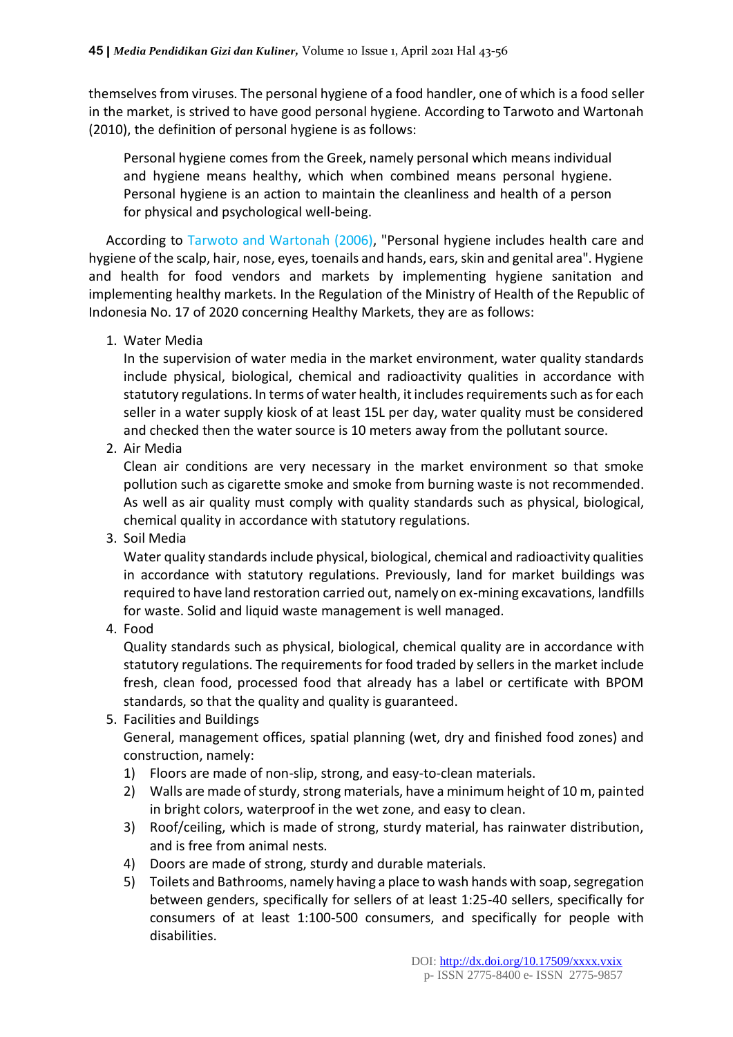themselves from viruses. The personal hygiene of a food handler, one of which is a food seller in the market, is strived to have good personal hygiene. According to Tarwoto and Wartonah (2010), the definition of personal hygiene is as follows:

Personal hygiene comes from the Greek, namely personal which means individual and hygiene means healthy, which when combined means personal hygiene. Personal hygiene is an action to maintain the cleanliness and health of a person for physical and psychological well-being.

According to Tarwoto and Wartonah (2006), "Personal hygiene includes health care and hygiene of the scalp, hair, nose, eyes, toenails and hands, ears, skin and genital area". Hygiene and health for food vendors and markets by implementing hygiene sanitation and implementing healthy markets. In the Regulation of the Ministry of Health of the Republic of Indonesia No. 17 of 2020 concerning Healthy Markets, they are as follows:

1. Water Media

In the supervision of water media in the market environment, water quality standards include physical, biological, chemical and radioactivity qualities in accordance with statutory regulations. In terms of water health, it includes requirements such as for each seller in a water supply kiosk of at least 15L per day, water quality must be considered and checked then the water source is 10 meters away from the pollutant source.

2. Air Media

Clean air conditions are very necessary in the market environment so that smoke pollution such as cigarette smoke and smoke from burning waste is not recommended. As well as air quality must comply with quality standards such as physical, biological, chemical quality in accordance with statutory regulations.

3. Soil Media

Water quality standards include physical, biological, chemical and radioactivity qualities in accordance with statutory regulations. Previously, land for market buildings was required to have land restoration carried out, namely on ex-mining excavations, landfills for waste. Solid and liquid waste management is well managed.

4. Food

Quality standards such as physical, biological, chemical quality are in accordance with statutory regulations. The requirements for food traded by sellers in the market include fresh, clean food, processed food that already has a label or certificate with BPOM standards, so that the quality and quality is guaranteed.

5. Facilities and Buildings

General, management offices, spatial planning (wet, dry and finished food zones) and construction, namely:

- 1) Floors are made of non-slip, strong, and easy-to-clean materials.
- 2) Walls are made of sturdy, strong materials, have a minimum height of 10 m, painted in bright colors, waterproof in the wet zone, and easy to clean.
- 3) Roof/ceiling, which is made of strong, sturdy material, has rainwater distribution, and is free from animal nests.
- 4) Doors are made of strong, sturdy and durable materials.
- 5) Toilets and Bathrooms, namely having a place to wash hands with soap, segregation between genders, specifically for sellers of at least 1:25-40 sellers, specifically for consumers of at least 1:100-500 consumers, and specifically for people with disabilities.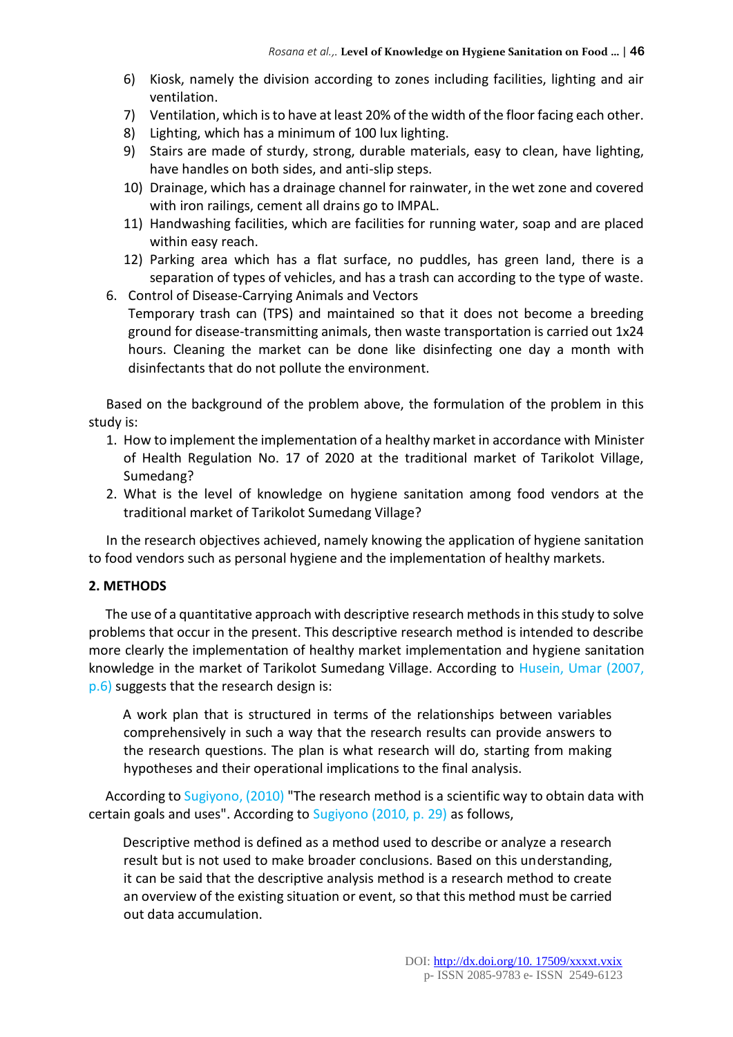- 6) Kiosk, namely the division according to zones including facilities, lighting and air ventilation.
- 7) Ventilation, which is to have at least 20% of the width of the floor facing each other.
- 8) Lighting, which has a minimum of 100 lux lighting.
- 9) Stairs are made of sturdy, strong, durable materials, easy to clean, have lighting, have handles on both sides, and anti-slip steps.
- 10) Drainage, which has a drainage channel for rainwater, in the wet zone and covered with iron railings, cement all drains go to IMPAL.
- 11) Handwashing facilities, which are facilities for running water, soap and are placed within easy reach.
- 12) Parking area which has a flat surface, no puddles, has green land, there is a separation of types of vehicles, and has a trash can according to the type of waste.
- 6. Control of Disease-Carrying Animals and Vectors Temporary trash can (TPS) and maintained so that it does not become a breeding ground for disease-transmitting animals, then waste transportation is carried out 1x24 hours. Cleaning the market can be done like disinfecting one day a month with disinfectants that do not pollute the environment.

Based on the background of the problem above, the formulation of the problem in this study is:

- 1. How to implement the implementation of a healthy market in accordance with Minister of Health Regulation No. 17 of 2020 at the traditional market of Tarikolot Village, Sumedang?
- 2. What is the level of knowledge on hygiene sanitation among food vendors at the traditional market of Tarikolot Sumedang Village?

In the research objectives achieved, namely knowing the application of hygiene sanitation to food vendors such as personal hygiene and the implementation of healthy markets.

#### **2. METHODS**

The use of a quantitative approach with descriptive research methods in this study to solve problems that occur in the present. This descriptive research method is intended to describe more clearly the implementation of healthy market implementation and hygiene sanitation knowledge in the market of Tarikolot Sumedang Village. According to Husein, Umar (2007, p.6) suggests that the research design is:

A work plan that is structured in terms of the relationships between variables comprehensively in such a way that the research results can provide answers to the research questions. The plan is what research will do, starting from making hypotheses and their operational implications to the final analysis.

According to Sugiyono, (2010) "The research method is a scientific way to obtain data with certain goals and uses". According to Sugiyono (2010, p. 29) as follows,

Descriptive method is defined as a method used to describe or analyze a research result but is not used to make broader conclusions. Based on this understanding, it can be said that the descriptive analysis method is a research method to create an overview of the existing situation or event, so that this method must be carried out data accumulation.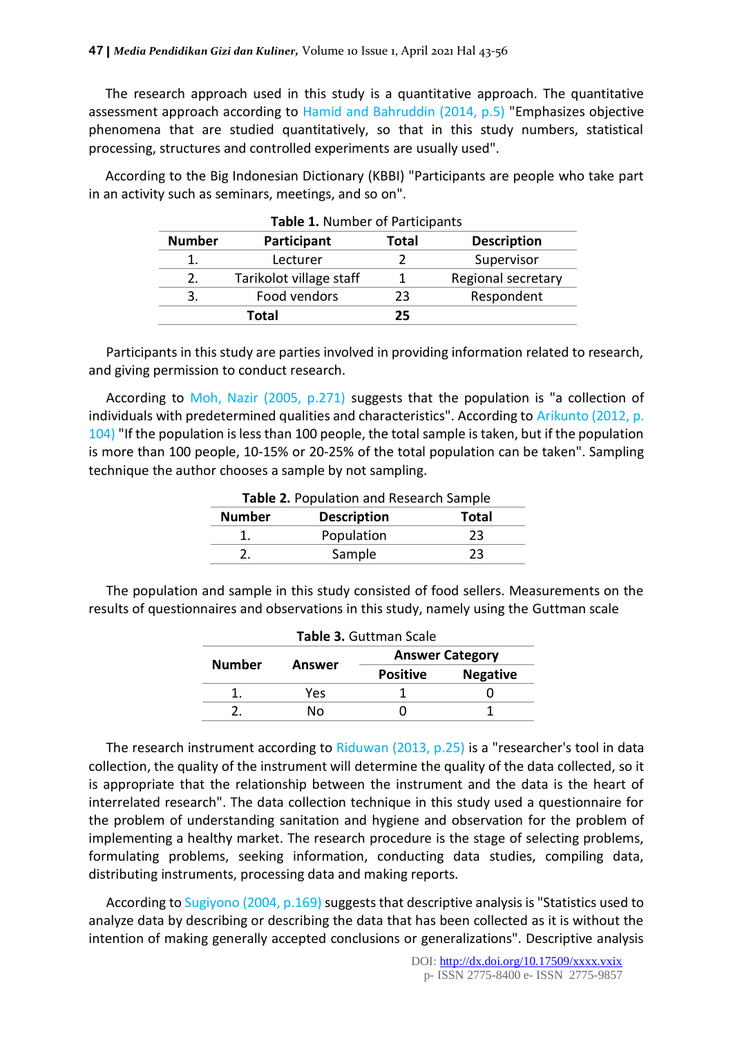The research approach used in this study is a quantitative approach. The quantitative assessment approach according to Hamid and Bahruddin (2014, p.5) "Emphasizes objective phenomena that are studied quantitatively, so that in this study numbers, statistical processing, structures and controlled experiments are usually used".

According to the Big Indonesian Dictionary (KBBI) "Participants are people who take part in an activity such as seminars, meetings, and so on".

| Table 1. Number of Participants |                         |       |                    |  |
|---------------------------------|-------------------------|-------|--------------------|--|
| <b>Number</b>                   | Participant             | Total | <b>Description</b> |  |
|                                 | Lecturer                |       | Supervisor         |  |
| 2.                              | Tarikolot village staff |       | Regional secretary |  |
| 3.                              | Food vendors            | 23    | Respondent         |  |
| Total                           |                         | 25    |                    |  |

Participants in this study are parties involved in providing information related to research, and giving permission to conduct research.

According to Moh, Nazir (2005, p.271) suggests that the population is "a collection of individuals with predetermined qualities and characteristics". According to Arikunto (2012, p. 104) "If the population is less than 100 people, the total sample is taken, but if the population is more than 100 people, 10-15% or 20-25% of the total population can be taken". Sampling technique the author chooses a sample by not sampling.

| Table 2. Population and Research Sample |                                    |    |  |
|-----------------------------------------|------------------------------------|----|--|
| <b>Number</b>                           | <b>Description</b><br><b>Total</b> |    |  |
|                                         | Population                         | 23 |  |
|                                         | Sample                             | 23 |  |

The population and sample in this study consisted of food sellers. Measurements on the results of questionnaires and observations in this study, namely using the Guttman scale

| <b>Table 3. Guttman Scale</b> |        |                        |                 |
|-------------------------------|--------|------------------------|-----------------|
| <b>Number</b>                 | Answer | <b>Answer Category</b> |                 |
|                               |        | <b>Positive</b>        | <b>Negative</b> |
|                               | Yes    |                        |                 |
|                               | N٥     |                        |                 |

The research instrument according to Riduwan (2013, p.25) is a "researcher's tool in data collection, the quality of the instrument will determine the quality of the data collected, so it is appropriate that the relationship between the instrument and the data is the heart of interrelated research". The data collection technique in this study used a questionnaire for the problem of understanding sanitation and hygiene and observation for the problem of implementing a healthy market. The research procedure is the stage of selecting problems, formulating problems, seeking information, conducting data studies, compiling data, distributing instruments, processing data and making reports.

According to Sugiyono (2004, p.169) suggests that descriptive analysis is "Statistics used to analyze data by describing or describing the data that has been collected as it is without the intention of making generally accepted conclusions or generalizations". Descriptive analysis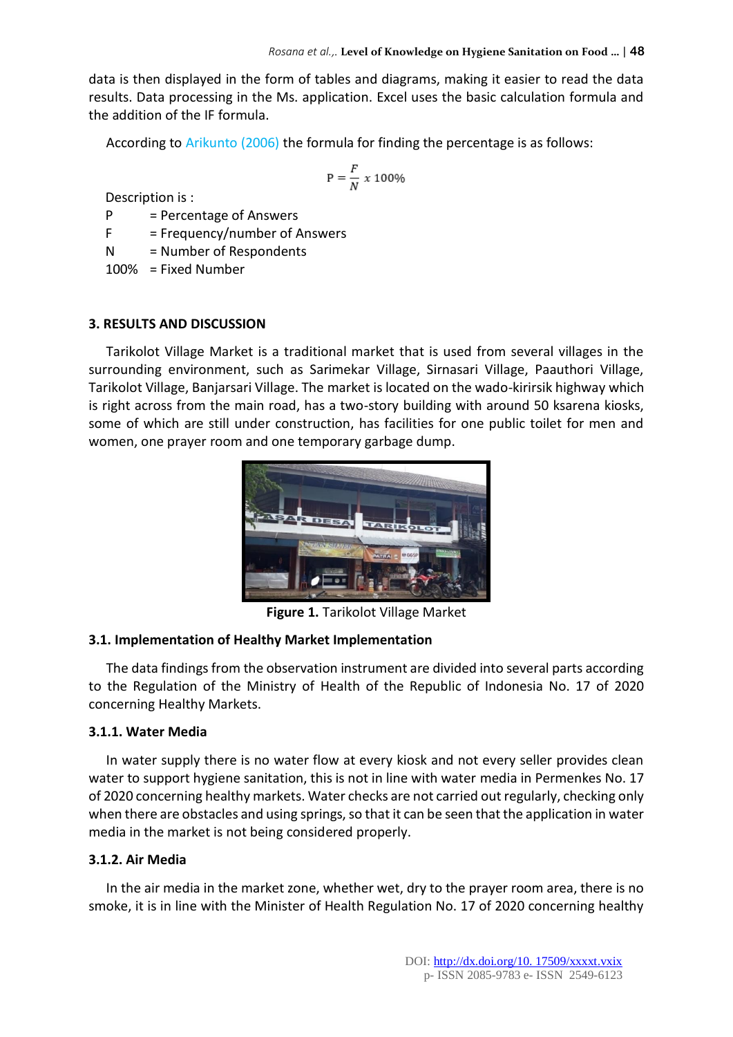data is then displayed in the form of tables and diagrams, making it easier to read the data results. Data processing in the Ms. application. Excel uses the basic calculation formula and the addition of the IF formula.

According to Arikunto (2006) the formula for finding the percentage is as follows:

$$
\mathrm{P}=\frac{F}{N}\;x\;100\%
$$

Description is :

 $P = Percentage of Answers$ 

 $F = Frequency/number of Answers$ 

N = Number of Respondents

100% = Fixed Number

#### **3. RESULTS AND DISCUSSION**

Tarikolot Village Market is a traditional market that is used from several villages in the surrounding environment, such as Sarimekar Village, Sirnasari Village, Paauthori Village, Tarikolot Village, Banjarsari Village. The market is located on the wado-kirirsik highway which is right across from the main road, has a two-story building with around 50 ksarena kiosks, some of which are still under construction, has facilities for one public toilet for men and women, one prayer room and one temporary garbage dump.



**Figure 1.** Tarikolot Village Market

#### **3.1. Implementation of Healthy Market Implementation**

The data findings from the observation instrument are divided into several parts according to the Regulation of the Ministry of Health of the Republic of Indonesia No. 17 of 2020 concerning Healthy Markets.

#### **3.1.1. Water Media**

In water supply there is no water flow at every kiosk and not every seller provides clean water to support hygiene sanitation, this is not in line with water media in Permenkes No. 17 of 2020 concerning healthy markets. Water checks are not carried out regularly, checking only when there are obstacles and using springs, so that it can be seen that the application in water media in the market is not being considered properly.

#### **3.1.2. Air Media**

In the air media in the market zone, whether wet, dry to the prayer room area, there is no smoke, it is in line with the Minister of Health Regulation No. 17 of 2020 concerning healthy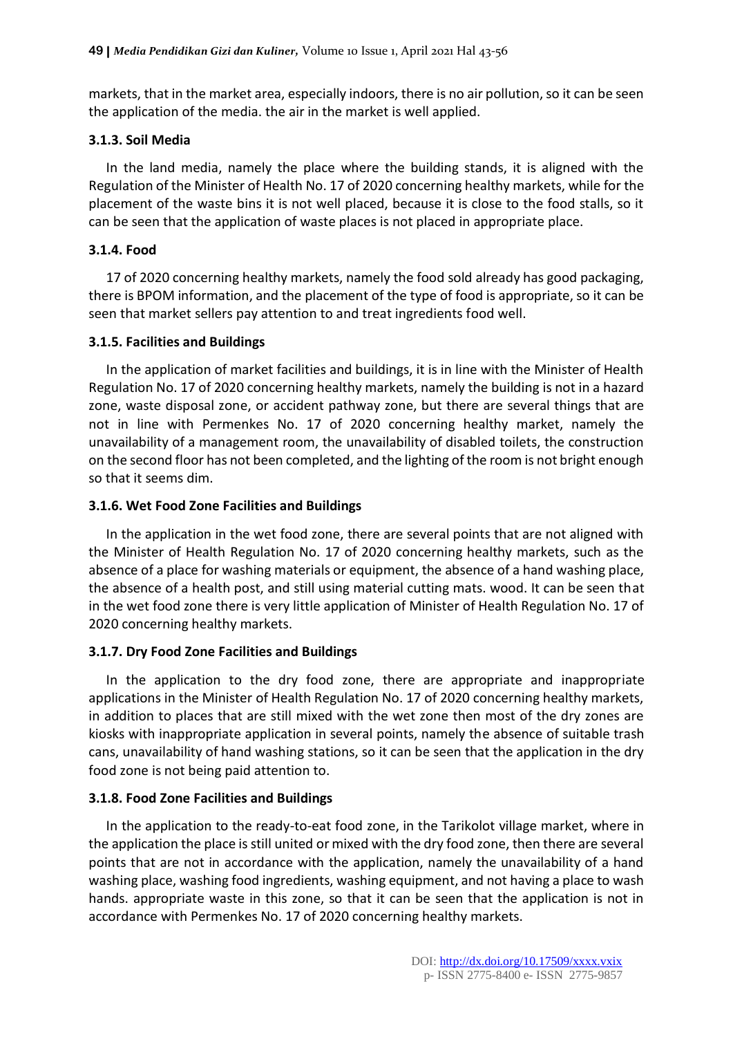markets, that in the market area, especially indoors, there is no air pollution, so it can be seen the application of the media. the air in the market is well applied.

# **3.1.3. Soil Media**

In the land media, namely the place where the building stands, it is aligned with the Regulation of the Minister of Health No. 17 of 2020 concerning healthy markets, while for the placement of the waste bins it is not well placed, because it is close to the food stalls, so it can be seen that the application of waste places is not placed in appropriate place.

# **3.1.4. Food**

17 of 2020 concerning healthy markets, namely the food sold already has good packaging, there is BPOM information, and the placement of the type of food is appropriate, so it can be seen that market sellers pay attention to and treat ingredients food well.

# **3.1.5. Facilities and Buildings**

In the application of market facilities and buildings, it is in line with the Minister of Health Regulation No. 17 of 2020 concerning healthy markets, namely the building is not in a hazard zone, waste disposal zone, or accident pathway zone, but there are several things that are not in line with Permenkes No. 17 of 2020 concerning healthy market, namely the unavailability of a management room, the unavailability of disabled toilets, the construction on the second floor has not been completed, and the lighting of the room is not bright enough so that it seems dim.

# **3.1.6. Wet Food Zone Facilities and Buildings**

In the application in the wet food zone, there are several points that are not aligned with the Minister of Health Regulation No. 17 of 2020 concerning healthy markets, such as the absence of a place for washing materials or equipment, the absence of a hand washing place, the absence of a health post, and still using material cutting mats. wood. It can be seen that in the wet food zone there is very little application of Minister of Health Regulation No. 17 of 2020 concerning healthy markets.

# **3.1.7. Dry Food Zone Facilities and Buildings**

In the application to the dry food zone, there are appropriate and inappropriate applications in the Minister of Health Regulation No. 17 of 2020 concerning healthy markets, in addition to places that are still mixed with the wet zone then most of the dry zones are kiosks with inappropriate application in several points, namely the absence of suitable trash cans, unavailability of hand washing stations, so it can be seen that the application in the dry food zone is not being paid attention to.

# **3.1.8. Food Zone Facilities and Buildings**

In the application to the ready-to-eat food zone, in the Tarikolot village market, where in the application the place is still united or mixed with the dry food zone, then there are several points that are not in accordance with the application, namely the unavailability of a hand washing place, washing food ingredients, washing equipment, and not having a place to wash hands. appropriate waste in this zone, so that it can be seen that the application is not in accordance with Permenkes No. 17 of 2020 concerning healthy markets.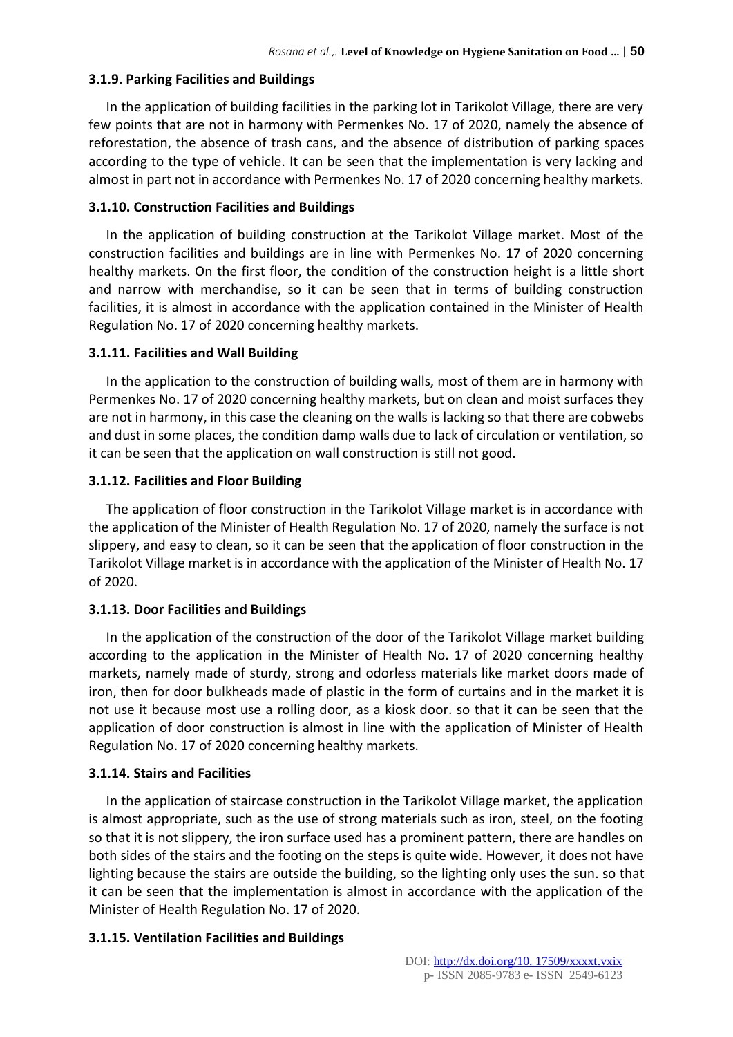# **3.1.9. Parking Facilities and Buildings**

In the application of building facilities in the parking lot in Tarikolot Village, there are very few points that are not in harmony with Permenkes No. 17 of 2020, namely the absence of reforestation, the absence of trash cans, and the absence of distribution of parking spaces according to the type of vehicle. It can be seen that the implementation is very lacking and almost in part not in accordance with Permenkes No. 17 of 2020 concerning healthy markets.

## **3.1.10. Construction Facilities and Buildings**

In the application of building construction at the Tarikolot Village market. Most of the construction facilities and buildings are in line with Permenkes No. 17 of 2020 concerning healthy markets. On the first floor, the condition of the construction height is a little short and narrow with merchandise, so it can be seen that in terms of building construction facilities, it is almost in accordance with the application contained in the Minister of Health Regulation No. 17 of 2020 concerning healthy markets.

## **3.1.11. Facilities and Wall Building**

In the application to the construction of building walls, most of them are in harmony with Permenkes No. 17 of 2020 concerning healthy markets, but on clean and moist surfaces they are not in harmony, in this case the cleaning on the walls is lacking so that there are cobwebs and dust in some places, the condition damp walls due to lack of circulation or ventilation, so it can be seen that the application on wall construction is still not good.

## **3.1.12. Facilities and Floor Building**

The application of floor construction in the Tarikolot Village market is in accordance with the application of the Minister of Health Regulation No. 17 of 2020, namely the surface is not slippery, and easy to clean, so it can be seen that the application of floor construction in the Tarikolot Village market is in accordance with the application of the Minister of Health No. 17 of 2020.

# **3.1.13. Door Facilities and Buildings**

In the application of the construction of the door of the Tarikolot Village market building according to the application in the Minister of Health No. 17 of 2020 concerning healthy markets, namely made of sturdy, strong and odorless materials like market doors made of iron, then for door bulkheads made of plastic in the form of curtains and in the market it is not use it because most use a rolling door, as a kiosk door. so that it can be seen that the application of door construction is almost in line with the application of Minister of Health Regulation No. 17 of 2020 concerning healthy markets.

# **3.1.14. Stairs and Facilities**

In the application of staircase construction in the Tarikolot Village market, the application is almost appropriate, such as the use of strong materials such as iron, steel, on the footing so that it is not slippery, the iron surface used has a prominent pattern, there are handles on both sides of the stairs and the footing on the steps is quite wide. However, it does not have lighting because the stairs are outside the building, so the lighting only uses the sun. so that it can be seen that the implementation is almost in accordance with the application of the Minister of Health Regulation No. 17 of 2020.

# **3.1.15. Ventilation Facilities and Buildings**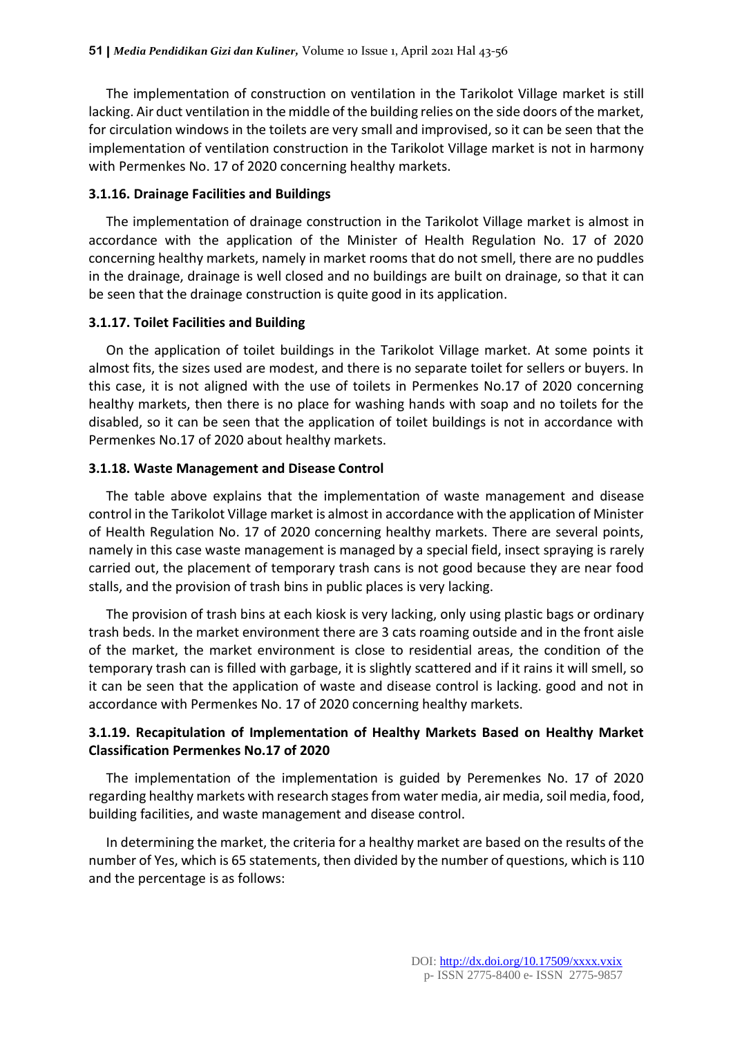The implementation of construction on ventilation in the Tarikolot Village market is still lacking. Air duct ventilation in the middle of the building relies on the side doors of the market, for circulation windows in the toilets are very small and improvised, so it can be seen that the implementation of ventilation construction in the Tarikolot Village market is not in harmony with Permenkes No. 17 of 2020 concerning healthy markets.

#### **3.1.16. Drainage Facilities and Buildings**

The implementation of drainage construction in the Tarikolot Village market is almost in accordance with the application of the Minister of Health Regulation No. 17 of 2020 concerning healthy markets, namely in market rooms that do not smell, there are no puddles in the drainage, drainage is well closed and no buildings are built on drainage, so that it can be seen that the drainage construction is quite good in its application.

#### **3.1.17. Toilet Facilities and Building**

On the application of toilet buildings in the Tarikolot Village market. At some points it almost fits, the sizes used are modest, and there is no separate toilet for sellers or buyers. In this case, it is not aligned with the use of toilets in Permenkes No.17 of 2020 concerning healthy markets, then there is no place for washing hands with soap and no toilets for the disabled, so it can be seen that the application of toilet buildings is not in accordance with Permenkes No.17 of 2020 about healthy markets.

#### **3.1.18. Waste Management and Disease Control**

The table above explains that the implementation of waste management and disease control in the Tarikolot Village market is almost in accordance with the application of Minister of Health Regulation No. 17 of 2020 concerning healthy markets. There are several points, namely in this case waste management is managed by a special field, insect spraying is rarely carried out, the placement of temporary trash cans is not good because they are near food stalls, and the provision of trash bins in public places is very lacking.

The provision of trash bins at each kiosk is very lacking, only using plastic bags or ordinary trash beds. In the market environment there are 3 cats roaming outside and in the front aisle of the market, the market environment is close to residential areas, the condition of the temporary trash can is filled with garbage, it is slightly scattered and if it rains it will smell, so it can be seen that the application of waste and disease control is lacking. good and not in accordance with Permenkes No. 17 of 2020 concerning healthy markets.

## **3.1.19. Recapitulation of Implementation of Healthy Markets Based on Healthy Market Classification Permenkes No.17 of 2020**

The implementation of the implementation is guided by Peremenkes No. 17 of 2020 regarding healthy markets with research stages from water media, air media, soil media, food, building facilities, and waste management and disease control.

In determining the market, the criteria for a healthy market are based on the results of the number of Yes, which is 65 statements, then divided by the number of questions, which is 110 and the percentage is as follows: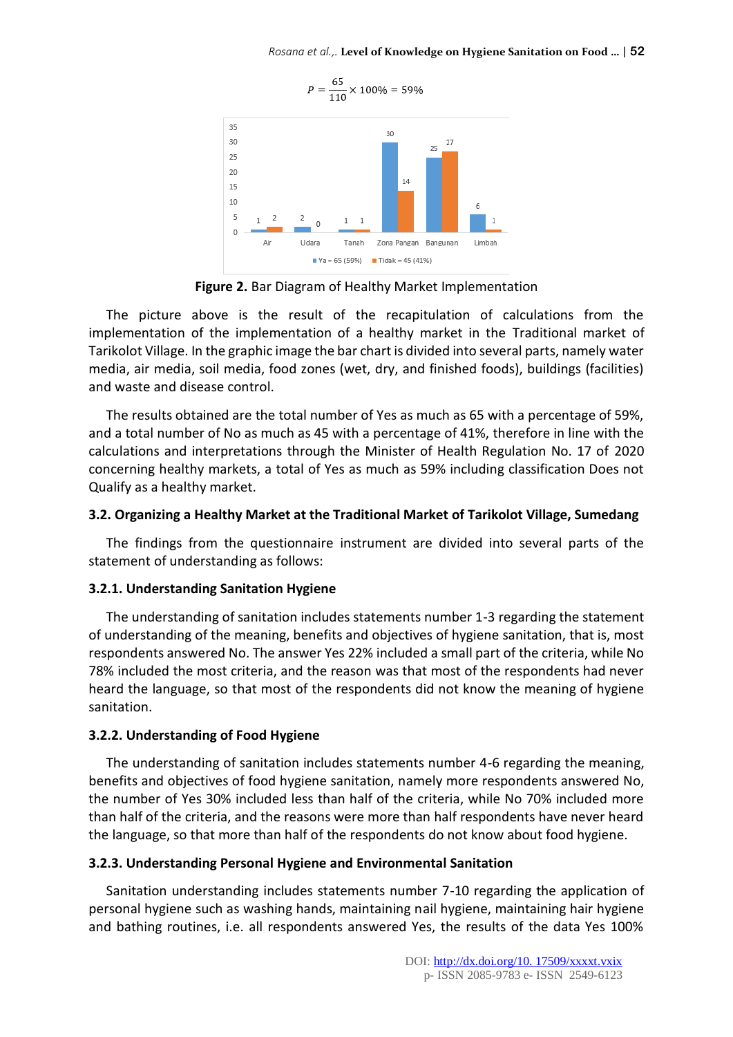

**Figure 2.** Bar Diagram of Healthy Market Implementation

The picture above is the result of the recapitulation of calculations from the implementation of the implementation of a healthy market in the Traditional market of Tarikolot Village. In the graphic image the bar chart is divided into several parts, namely water media, air media, soil media, food zones (wet, dry, and finished foods), buildings (facilities) and waste and disease control.

The results obtained are the total number of Yes as much as 65 with a percentage of 59%, and a total number of No as much as 45 with a percentage of 41%, therefore in line with the calculations and interpretations through the Minister of Health Regulation No. 17 of 2020 concerning healthy markets, a total of Yes as much as 59% including classification Does not Qualify as a healthy market.

#### **3.2. Organizing a Healthy Market at the Traditional Market of Tarikolot Village, Sumedang**

The findings from the questionnaire instrument are divided into several parts of the statement of understanding as follows:

#### **3.2.1. Understanding Sanitation Hygiene**

The understanding of sanitation includes statements number 1-3 regarding the statement of understanding of the meaning, benefits and objectives of hygiene sanitation, that is, most respondents answered No. The answer Yes 22% included a small part of the criteria, while No 78% included the most criteria, and the reason was that most of the respondents had never heard the language, so that most of the respondents did not know the meaning of hygiene sanitation.

#### **3.2.2. Understanding of Food Hygiene**

The understanding of sanitation includes statements number 4-6 regarding the meaning, benefits and objectives of food hygiene sanitation, namely more respondents answered No, the number of Yes 30% included less than half of the criteria, while No 70% included more than half of the criteria, and the reasons were more than half respondents have never heard the language, so that more than half of the respondents do not know about food hygiene.

#### **3.2.3. Understanding Personal Hygiene and Environmental Sanitation**

Sanitation understanding includes statements number 7-10 regarding the application of personal hygiene such as washing hands, maintaining nail hygiene, maintaining hair hygiene and bathing routines, i.e. all respondents answered Yes, the results of the data Yes 100%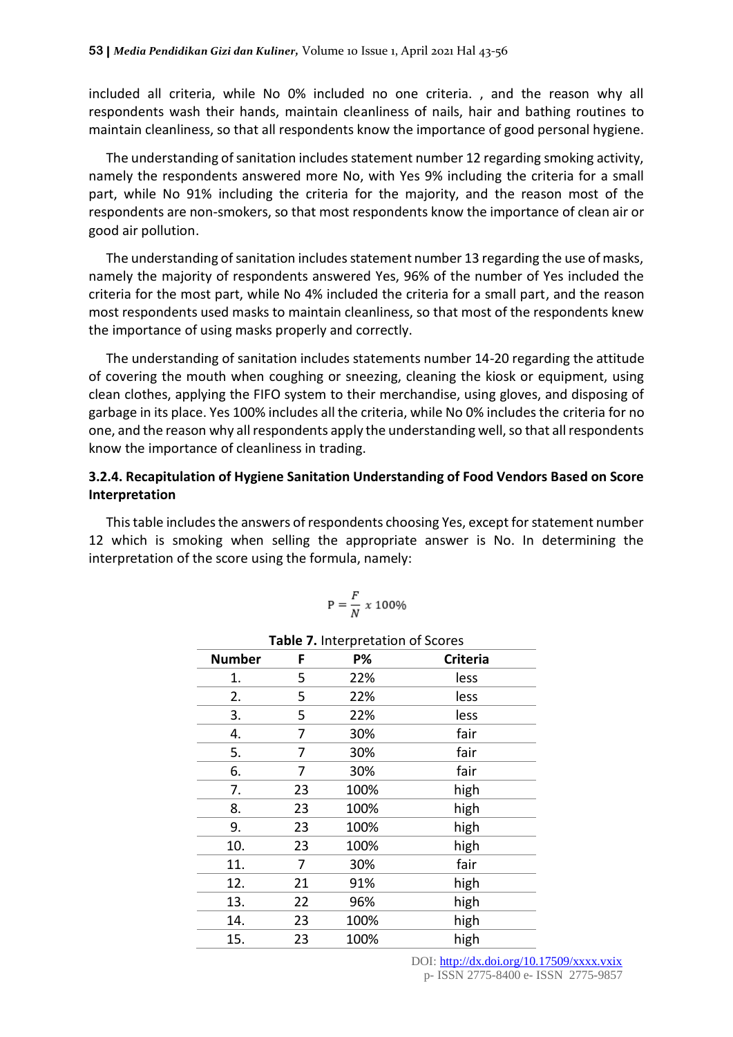included all criteria, while No 0% included no one criteria. , and the reason why all respondents wash their hands, maintain cleanliness of nails, hair and bathing routines to maintain cleanliness, so that all respondents know the importance of good personal hygiene.

The understanding of sanitation includes statement number 12 regarding smoking activity, namely the respondents answered more No, with Yes 9% including the criteria for a small part, while No 91% including the criteria for the majority, and the reason most of the respondents are non-smokers, so that most respondents know the importance of clean air or good air pollution.

The understanding of sanitation includes statement number 13 regarding the use of masks, namely the majority of respondents answered Yes, 96% of the number of Yes included the criteria for the most part, while No 4% included the criteria for a small part, and the reason most respondents used masks to maintain cleanliness, so that most of the respondents knew the importance of using masks properly and correctly.

The understanding of sanitation includes statements number 14-20 regarding the attitude of covering the mouth when coughing or sneezing, cleaning the kiosk or equipment, using clean clothes, applying the FIFO system to their merchandise, using gloves, and disposing of garbage in its place. Yes 100% includes all the criteria, while No 0% includes the criteria for no one, and the reason why all respondents apply the understanding well, so that all respondents know the importance of cleanliness in trading.

# **3.2.4. Recapitulation of Hygiene Sanitation Understanding of Food Vendors Based on Score Interpretation**

This table includes the answers of respondents choosing Yes, except for statement number 12 which is smoking when selling the appropriate answer is No. In determining the interpretation of the score using the formula, namely:

$$
\mathrm{P} = \frac{F}{N} \times 100\%
$$

| <b>Number</b> | F  | <b>P%</b> | <b>Criteria</b> |
|---------------|----|-----------|-----------------|
| 1.            | 5  | 22%       | less            |
| 2.            | 5  | 22%       | less            |
| 3.            | 5  | 22%       | less            |
| 4.            | 7  | 30%       | fair            |
| 5.            | 7  | 30%       | fair            |
| 6.            | 7  | 30%       | fair            |
| 7.            | 23 | 100%      | high            |
| 8.            | 23 | 100%      | high            |
| 9.            | 23 | 100%      | high            |
| 10.           | 23 | 100%      | high            |
| 11.           | 7  | 30%       | fair            |
| 12.           | 21 | 91%       | high            |
| 13.           | 22 | 96%       | high            |
| 14.           | 23 | 100%      | high            |
| 15.           | 23 | 100%      | high            |

#### **Table 7.** Interpretation of Scores

DOI: [http://dx.doi.org/10.17509/xxxx.vxix](http://dx.doi.org/10.17509/xxxx.vxi)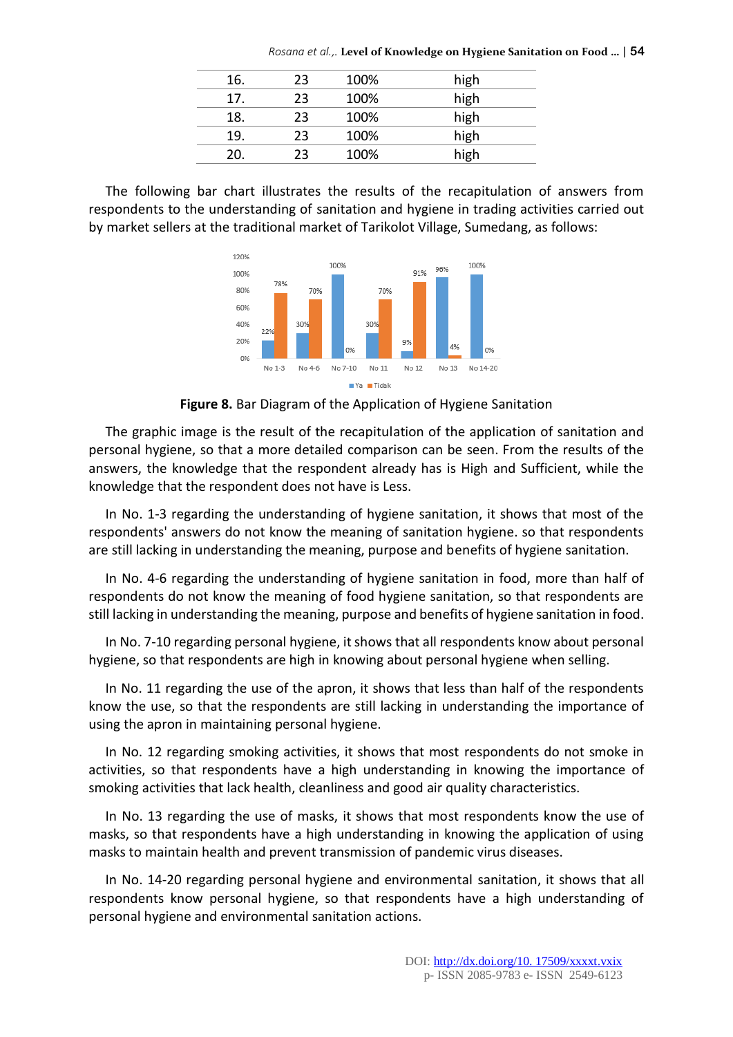*Rosana et al.,.* **Level of Knowledge on Hygiene Sanitation on Food …** | **54**

| 16. | 23 | 100% | high |
|-----|----|------|------|
| 17. | 23 | 100% | high |
| 18. | つっ | 100% | high |
| 19. | フ3 | 100% | high |
| 20. | つつ | 100% | high |
|     |    |      |      |

The following bar chart illustrates the results of the recapitulation of answers from respondents to the understanding of sanitation and hygiene in trading activities carried out by market sellers at the traditional market of Tarikolot Village, Sumedang, as follows:



**Figure 8.** Bar Diagram of the Application of Hygiene Sanitation

The graphic image is the result of the recapitulation of the application of sanitation and personal hygiene, so that a more detailed comparison can be seen. From the results of the answers, the knowledge that the respondent already has is High and Sufficient, while the knowledge that the respondent does not have is Less.

In No. 1-3 regarding the understanding of hygiene sanitation, it shows that most of the respondents' answers do not know the meaning of sanitation hygiene. so that respondents are still lacking in understanding the meaning, purpose and benefits of hygiene sanitation.

In No. 4-6 regarding the understanding of hygiene sanitation in food, more than half of respondents do not know the meaning of food hygiene sanitation, so that respondents are still lacking in understanding the meaning, purpose and benefits of hygiene sanitation in food.

In No. 7-10 regarding personal hygiene, it shows that all respondents know about personal hygiene, so that respondents are high in knowing about personal hygiene when selling.

In No. 11 regarding the use of the apron, it shows that less than half of the respondents know the use, so that the respondents are still lacking in understanding the importance of using the apron in maintaining personal hygiene.

In No. 12 regarding smoking activities, it shows that most respondents do not smoke in activities, so that respondents have a high understanding in knowing the importance of smoking activities that lack health, cleanliness and good air quality characteristics.

In No. 13 regarding the use of masks, it shows that most respondents know the use of masks, so that respondents have a high understanding in knowing the application of using masks to maintain health and prevent transmission of pandemic virus diseases.

In No. 14-20 regarding personal hygiene and environmental sanitation, it shows that all respondents know personal hygiene, so that respondents have a high understanding of personal hygiene and environmental sanitation actions.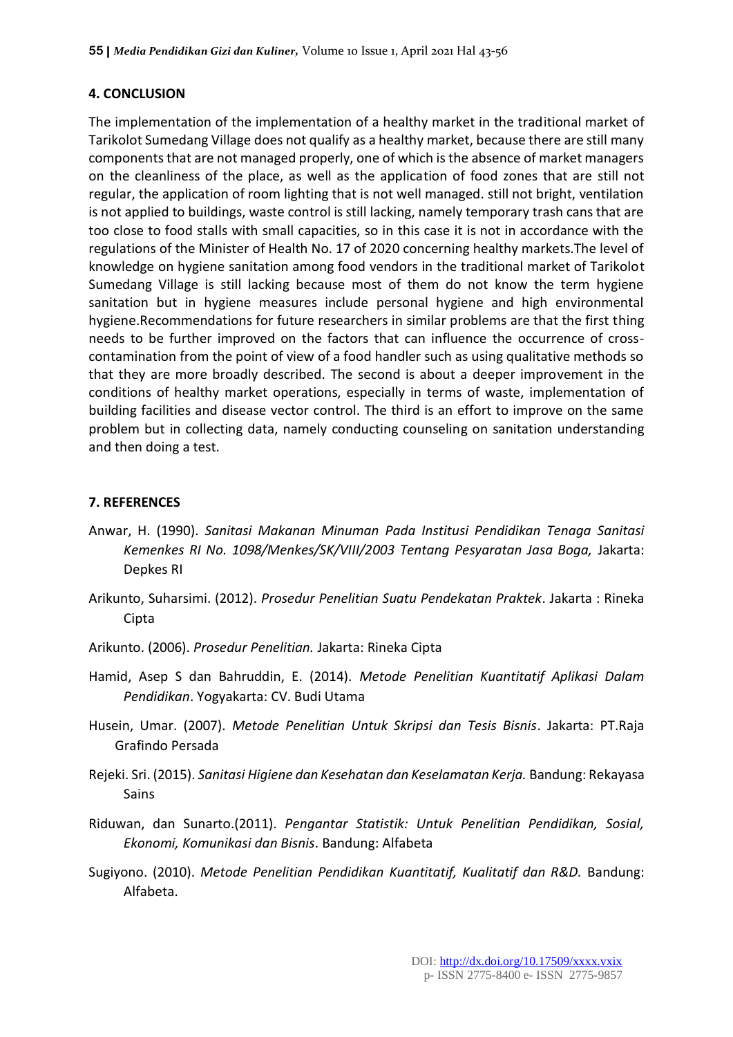# **4. CONCLUSION**

The implementation of the implementation of a healthy market in the traditional market of Tarikolot Sumedang Village does not qualify as a healthy market, because there are still many components that are not managed properly, one of which is the absence of market managers on the cleanliness of the place, as well as the application of food zones that are still not regular, the application of room lighting that is not well managed. still not bright, ventilation is not applied to buildings, waste control is still lacking, namely temporary trash cans that are too close to food stalls with small capacities, so in this case it is not in accordance with the regulations of the Minister of Health No. 17 of 2020 concerning healthy markets.The level of knowledge on hygiene sanitation among food vendors in the traditional market of Tarikolot Sumedang Village is still lacking because most of them do not know the term hygiene sanitation but in hygiene measures include personal hygiene and high environmental hygiene.Recommendations for future researchers in similar problems are that the first thing needs to be further improved on the factors that can influence the occurrence of crosscontamination from the point of view of a food handler such as using qualitative methods so that they are more broadly described. The second is about a deeper improvement in the conditions of healthy market operations, especially in terms of waste, implementation of building facilities and disease vector control. The third is an effort to improve on the same problem but in collecting data, namely conducting counseling on sanitation understanding and then doing a test.

#### **7. REFERENCES**

- Anwar, H. (1990). *Sanitasi Makanan Minuman Pada Institusi Pendidikan Tenaga Sanitasi Kemenkes RI No. 1098/Menkes/SK/VIII/2003 Tentang Pesyaratan Jasa Boga,* Jakarta: Depkes RI
- Arikunto, Suharsimi. (2012). *Prosedur Penelitian Suatu Pendekatan Praktek*. Jakarta : Rineka Cipta
- Arikunto. (2006). *Prosedur Penelitian.* Jakarta: Rineka Cipta
- Hamid, Asep S dan Bahruddin, E. (2014). *Metode Penelitian Kuantitatif Aplikasi Dalam Pendidikan*. Yogyakarta: CV. Budi Utama
- Husein, Umar. (2007). *Metode Penelitian Untuk Skripsi dan Tesis Bisnis*. Jakarta: PT.Raja Grafindo Persada
- Rejeki. Sri. (2015). *Sanitasi Higiene dan Kesehatan dan Keselamatan Kerja.* Bandung: Rekayasa Sains
- Riduwan, dan Sunarto.(2011). *Pengantar Statistik: Untuk Penelitian Pendidikan, Sosial, Ekonomi, Komunikasi dan Bisnis*. Bandung: Alfabeta
- Sugiyono. (2010). *Metode Penelitian Pendidikan Kuantitatif, Kualitatif dan R&D.* Bandung: Alfabeta.